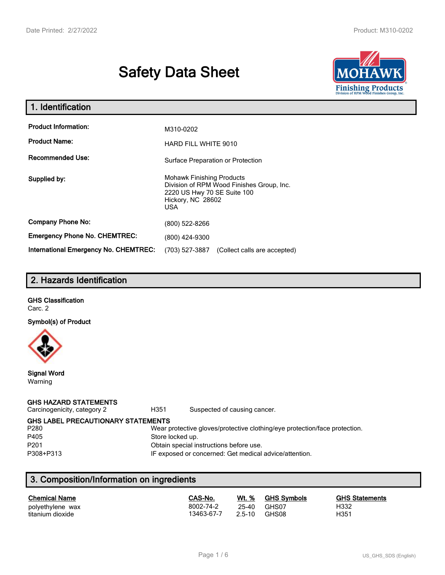# **Safety Data Sheet**



| 1. Identification                                   |                                                                                                                                           |  |  |  |
|-----------------------------------------------------|-------------------------------------------------------------------------------------------------------------------------------------------|--|--|--|
| <b>Product Information:</b><br><b>Product Name:</b> | M310-0202<br><b>HARD FILL WHITE 9010</b>                                                                                                  |  |  |  |
| <b>Recommended Use:</b>                             | Surface Preparation or Protection                                                                                                         |  |  |  |
| Supplied by:                                        | <b>Mohawk Finishing Products</b><br>Division of RPM Wood Finishes Group, Inc.<br>2220 US Hwy 70 SE Suite 100<br>Hickory, NC 28602<br>USA. |  |  |  |
| <b>Company Phone No:</b>                            | (800) 522-8266                                                                                                                            |  |  |  |
| <b>Emergency Phone No. CHEMTREC:</b>                | (800) 424-9300                                                                                                                            |  |  |  |
| <b>International Emergency No. CHEMTREC:</b>        | (703) 527-3887<br>(Collect calls are accepted)                                                                                            |  |  |  |

# **2. Hazards Identification**

# **GHS Classification**

Carc. 2

#### **Symbol(s) of Product**



**Signal Word** Warning

### **GHS HAZARD STATEMENTS**

Carcinogenicity, category 2 **H351** Suspected of causing cancer.

**GHS LABEL PRECAUTIONARY STATEMENTS**<br>P280 Wear p

#### Wear protective gloves/protective clothing/eye protection/face protection. P405 Store locked up.

P201 Obtain special instructions before use.

P308+P313 IF exposed or concerned: Get medical advice/attention.

# **3. Composition/Information on ingredients**

| <b>Chemical Name</b> | CAS-No.    | <u>Wt. %</u> | <b>GHS Symbols</b> | <b>GHS Statements</b> |
|----------------------|------------|--------------|--------------------|-----------------------|
| polyethylene wax     | 8002-74-2  | 25-40        | GHS07              | H332                  |
| titanium dioxide     | 13463-67-7 | $2.5 - 10$   | GHS08              | H351                  |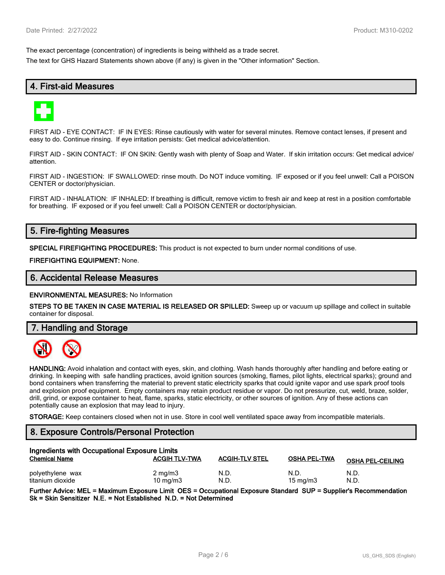The exact percentage (concentration) of ingredients is being withheld as a trade secret.

The text for GHS Hazard Statements shown above (if any) is given in the "Other information" Section.

# **4. First-aid Measures**



FIRST AID - EYE CONTACT: IF IN EYES: Rinse cautiously with water for several minutes. Remove contact lenses, if present and easy to do. Continue rinsing. If eye irritation persists: Get medical advice/attention.

FIRST AID - SKIN CONTACT: IF ON SKIN: Gently wash with plenty of Soap and Water. If skin irritation occurs: Get medical advice/ attention.

FIRST AID - INGESTION: IF SWALLOWED: rinse mouth. Do NOT induce vomiting. IF exposed or if you feel unwell: Call a POISON CENTER or doctor/physician.

FIRST AID - INHALATION: IF INHALED: If breathing is difficult, remove victim to fresh air and keep at rest in a position comfortable for breathing. IF exposed or if you feel unwell: Call a POISON CENTER or doctor/physician.

# **5. Fire-fighting Measures**

**SPECIAL FIREFIGHTING PROCEDURES:** This product is not expected to burn under normal conditions of use.

**FIREFIGHTING EQUIPMENT:** None.

### **6. Accidental Release Measures**

**ENVIRONMENTAL MEASURES:** No Information

**STEPS TO BE TAKEN IN CASE MATERIAL IS RELEASED OR SPILLED:** Sweep up or vacuum up spillage and collect in suitable container for disposal.

**7. Handling and Storage**



**HANDLING:** Avoid inhalation and contact with eyes, skin, and clothing. Wash hands thoroughly after handling and before eating or drinking. In keeping with safe handling practices, avoid ignition sources (smoking, flames, pilot lights, electrical sparks); ground and bond containers when transferring the material to prevent static electricity sparks that could ignite vapor and use spark proof tools and explosion proof equipment. Empty containers may retain product residue or vapor. Do not pressurize, cut, weld, braze, solder, drill, grind, or expose container to heat, flame, sparks, static electricity, or other sources of ignition. Any of these actions can potentially cause an explosion that may lead to injury.

**STORAGE:** Keep containers closed when not in use. Store in cool well ventilated space away from incompatible materials.

# **8. Exposure Controls/Personal Protection**

| Ingredients with Occupational Exposure Limits |                                |                       |                           |                         |  |
|-----------------------------------------------|--------------------------------|-----------------------|---------------------------|-------------------------|--|
| <b>Chemical Name</b>                          | <b>ACGIH TLV-TWA</b>           | <b>ACGIH-TLV STEL</b> | <b>OSHA PEL-TWA</b>       | <b>OSHA PEL-CEILING</b> |  |
| polyethylene wax<br>titanium dioxide          | $2 \text{ mg/m}$<br>10 $mq/m3$ | N.D<br>N.D            | N.D.<br>$15 \text{ mg/m}$ | N.D.<br>N.D.            |  |

**Further Advice: MEL = Maximum Exposure Limit OES = Occupational Exposure Standard SUP = Supplier's Recommendation Sk = Skin Sensitizer N.E. = Not Established N.D. = Not Determined**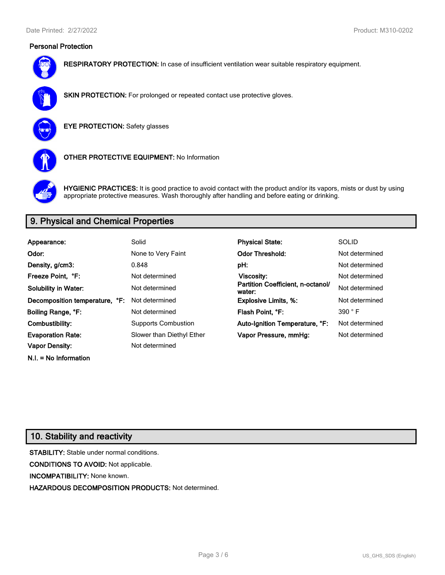# **Personal Protection**



**RESPIRATORY PROTECTION:** In case of insufficient ventilation wear suitable respiratory equipment.



**SKIN PROTECTION:** For prolonged or repeated contact use protective gloves.

**EYE PROTECTION:** Safety glasses



**OTHER PROTECTIVE EQUIPMENT:** No Information



**HYGIENIC PRACTICES:** It is good practice to avoid contact with the product and/or its vapors, mists or dust by using appropriate protective measures. Wash thoroughly after handling and before eating or drinking.

# **9. Physical and Chemical Properties**

| Appearance:                    | Solid                      | <b>Physical State:</b>                      | <b>SOLID</b>   |
|--------------------------------|----------------------------|---------------------------------------------|----------------|
| Odor:                          | None to Very Faint         | <b>Odor Threshold:</b>                      | Not determined |
| Density, g/cm3:                | 0.848                      | pH:                                         | Not determined |
| Freeze Point. °F:              | Not determined             | <b>Viscosity:</b>                           | Not determined |
| <b>Solubility in Water:</b>    | Not determined             | Partition Coefficient, n-octanol/<br>water: | Not determined |
| Decomposition temperature, °F: | Not determined             | <b>Explosive Limits, %:</b>                 | Not determined |
| Boiling Range, °F:             | Not determined             | Flash Point, °F:                            | 390 °F         |
| Combustibility:                | <b>Supports Combustion</b> | Auto-Ignition Temperature, °F:              | Not determined |
| <b>Evaporation Rate:</b>       | Slower than Diethyl Ether  | Vapor Pressure, mmHg:                       | Not determined |
| <b>Vapor Density:</b>          | Not determined             |                                             |                |

# **10. Stability and reactivity**

**N.I. = No Information**

**STABILITY:** Stable under normal conditions. **CONDITIONS TO AVOID:** Not applicable. **INCOMPATIBILITY:** None known. **HAZARDOUS DECOMPOSITION PRODUCTS:** Not determined.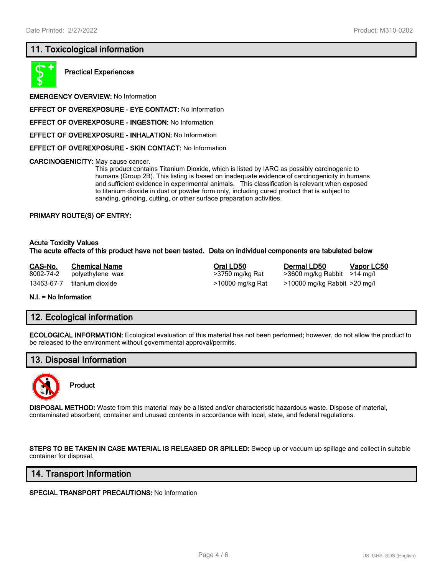# **11. Toxicological information**



**Practical Experiences**

**EMERGENCY OVERVIEW:** No Information

**EFFECT OF OVEREXPOSURE - EYE CONTACT:** No Information

**EFFECT OF OVEREXPOSURE - INGESTION:** No Information

**EFFECT OF OVEREXPOSURE - INHALATION:** No Information

**EFFECT OF OVEREXPOSURE - SKIN CONTACT:** No Information

**CARCINOGENICITY:** May cause cancer.

This product contains Titanium Dioxide, which is listed by IARC as possibly carcinogenic to humans (Group 2B). This listing is based on inadequate evidence of carcinogenicity in humans and sufficient evidence in experimental animals. This classification is relevant when exposed to titanium dioxide in dust or powder form only, including cured product that is subject to sanding, grinding, cutting, or other surface preparation activities.

#### **PRIMARY ROUTE(S) OF ENTRY:**

#### **Acute Toxicity Values The acute effects of this product have not been tested. Data on individual components are tabulated below**

**CAS-No. Chemical Name Oral LD50 Dermal LD50 Vapor LC50** 8002-74-2 polyethylene wax >3750 mg/kg Rat >3600 mg/kg Rabbit >14 mg/l 13463-67-7 titanium dioxide >10000 mg/kg Rat >10000 mg/kg Rabbit >20 mg/l

**N.I. = No Information**

### **12. Ecological information**

**ECOLOGICAL INFORMATION:** Ecological evaluation of this material has not been performed; however, do not allow the product to be released to the environment without governmental approval/permits.

# **13. Disposal Information**



**Product**

**DISPOSAL METHOD:** Waste from this material may be a listed and/or characteristic hazardous waste. Dispose of material, contaminated absorbent, container and unused contents in accordance with local, state, and federal regulations.

**STEPS TO BE TAKEN IN CASE MATERIAL IS RELEASED OR SPILLED:** Sweep up or vacuum up spillage and collect in suitable container for disposal.

### **14. Transport Information**

**SPECIAL TRANSPORT PRECAUTIONS:** No Information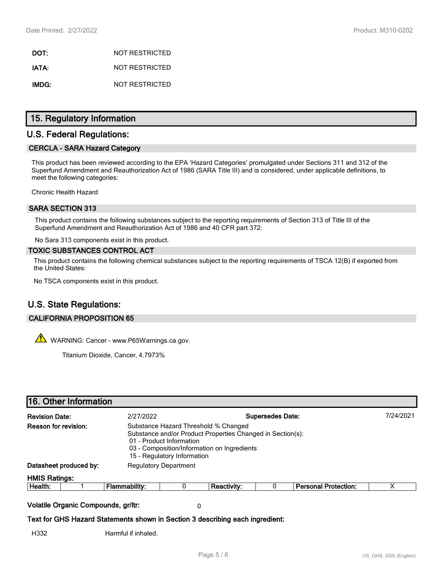**DOT:** NOT RESTRICTED **IATA:** NOT RESTRICTED **IMDG:** NOT RESTRICTED

# **15. Regulatory Information**

# **U.S. Federal Regulations:**

### **CERCLA - SARA Hazard Category**

This product has been reviewed according to the EPA 'Hazard Categories' promulgated under Sections 311 and 312 of the Superfund Amendment and Reauthorization Act of 1986 (SARA Title III) and is considered, under applicable definitions, to meet the following categories:

Chronic Health Hazard

### **SARA SECTION 313**

This product contains the following substances subject to the reporting requirements of Section 313 of Title III of the Superfund Amendment and Reauthorization Act of 1986 and 40 CFR part 372:

No Sara 313 components exist in this product.

#### **TOXIC SUBSTANCES CONTROL ACT**

This product contains the following chemical substances subject to the reporting requirements of TSCA 12(B) if exported from the United States:

No TSCA components exist in this product.

# **U.S. State Regulations:**

### **CALIFORNIA PROPOSITION 65**

WARNING: Cancer - www.P65Warnings.ca.gov.

Titanium Dioxide, Cancer, 4.7973%

### **16. Other Information**

| <b>Revision Date:</b> |                                                        | 2/27/2022                                                                     | <b>Supersedes Date:</b>                                                                                                                                                                                      |             |  |                             | 7/24/2021 |  |
|-----------------------|--------------------------------------------------------|-------------------------------------------------------------------------------|--------------------------------------------------------------------------------------------------------------------------------------------------------------------------------------------------------------|-------------|--|-----------------------------|-----------|--|
| Reason for revision:  |                                                        |                                                                               | Substance Hazard Threshold % Changed<br>Substance and/or Product Properties Changed in Section(s):<br>01 - Product Information<br>03 - Composition/Information on Ingredients<br>15 - Regulatory Information |             |  |                             |           |  |
|                       | Datasheet produced by:<br><b>Regulatory Department</b> |                                                                               |                                                                                                                                                                                                              |             |  |                             |           |  |
| <b>HMIS Ratings:</b>  |                                                        |                                                                               |                                                                                                                                                                                                              |             |  |                             |           |  |
| Health:               |                                                        | <b>Flammability:</b>                                                          | 0                                                                                                                                                                                                            | Reactivity: |  | <b>Personal Protection:</b> | х         |  |
|                       | Volatile Organic Compounds, gr/ltr:                    |                                                                               | 0                                                                                                                                                                                                            |             |  |                             |           |  |
|                       |                                                        | Text for GHS Hazard Statements shown in Section 3 describing each ingredient: |                                                                                                                                                                                                              |             |  |                             |           |  |
| H332                  |                                                        | Harmful if inhaled.                                                           |                                                                                                                                                                                                              |             |  |                             |           |  |